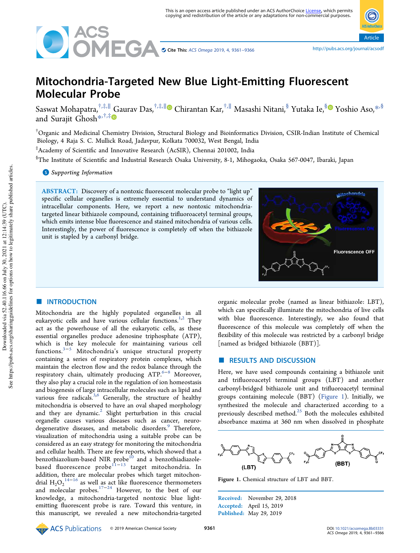

Cite This: ACS Omega 2019, 4, 9361–9366 http://pubs.acs.org/journal/acsodf

Article

# Mitochondria-Targeted New Blue Light-Emitting Fluorescent Molecular Probe

Saswat Mohapatra,<sup>†,‡,∥</sup> Gaurav Das,<sup>†,‡,∥</sup>® Chirantan Kar,<sup>†,∥</sup> Masashi Nitani,<sup>§</sup> Yutaka Ie,<sup>§</sup>® Yoshio Aso,\*<sup>,§</sup> and Surajit Ghosh<sup>\*\*,†,‡</sup>

†Organic and Medicinal Chemistry Division, Structural Biology and Bioinformatics Division, CSIR-Indian Institute of Chemical Biology, 4 Raja S. C. Mullick Road, Jadavpur, Kolkata 700032, West Bengal, India

‡ Academy of Scientific and Innovative Research (AcSIR), Chennai 201002, India

§The Institute of Scientific and Industrial Research Osaka University, 8-1, Mihogaoka, Osaka 567-0047, Ibaraki, Japan

**S** Supporting Information

ABSTRACT: Discovery of a nontoxic fluorescent molecular probe to "light up" specific cellular organelles is extremely essential to understand dynamics of intracellular components. Here, we report a new nontoxic mitochondriatargeted linear bithiazole compound, containing trifluoroacetyl terminal groups, which emits intense blue fluorescence and stained mitochondria of various cells. Interestingly, the power of fluorescence is completely off when the bithiazole unit is stapled by a carbonyl bridge.



#### **ENTRODUCTION**

Mitochondria are the highly populated organelles in all eukaryotic cells and have various cellular functions.<sup>1,2</sup> They act as the powerhouse of all the eukaryotic cells, as these essential organelles produce adenosine triphosphate (ATP), which is the key molecule for maintaining various cell functions.3−<sup>5</sup> Mitochondria's unique structural property containing a series of respiratory protein complexes, which maintain the electron flow and the redox balance through the respiratory chain, ultimately producing ATP.<sup>6−8</sup> Moreover, they also play a crucial role in the regulation of ion homeostasis and biogenesis of large intracellular molecules such as lipid and various free radicals. $3,6$  Generally, the structure of healthy mitochondria is observed to have an oval shaped morphology and they are dynamic.<sup>2</sup> Slight perturbation in this crucial organelle causes various diseases such as cancer, neurodegenerative diseases, and metabolic disorders.<sup>9</sup> Therefore, visualization of mitochondria using a suitable probe can be considered as an easy strategy for monitoring the mitochondria and cellular health. There are few reports, which showed that a benzothiazolium-based NIR probe $^{10}$  and a benzothiadiazolebased fluorescence probe<sup>11−13</sup> target mitochondria. In addition, there are molecular probes which target mitochondrial  $H_2O_2^{14-16}$  as well as act like fluorescence thermometers and molecular probes.17−<sup>24</sup> However, to the best of our knowledge, a mitochondria-targeted nontoxic blue lightemitting fluorescent probe is rare. Toward this venture, in this manuscript, we revealed a new mitochondria-targeted

organic molecular probe (named as linear bithiazole: LBT), which can specifically illuminate the mitochondria of live cells with blue fluorescence. Interestingly, we also found that fluorescence of this molecule was completely off when the flexibility of this molecule was restricted by a carbonyl bridge [named as bridged bithiazole (BBT)].

# ■ RESULTS AND DISCUSSION

Here, we have used compounds containing a bithiazole unit and trifluoroacetyl terminal groups (LBT) and another carbonyl-bridged bithiazole unit and trifluoroacetyl terminal groups containing molecule (BBT) (Figure 1). Initially, we synthesized the molecule and characterized according to a previously described method. $^{25}$  Both the molecules exhibited absorbance maxima at 360 nm when dissolved in phosphate



Figure 1. Chemical structure of LBT and BBT.

Received: November 29, 2018 Accepted: April 15, 2019 Published: May 29, 2019

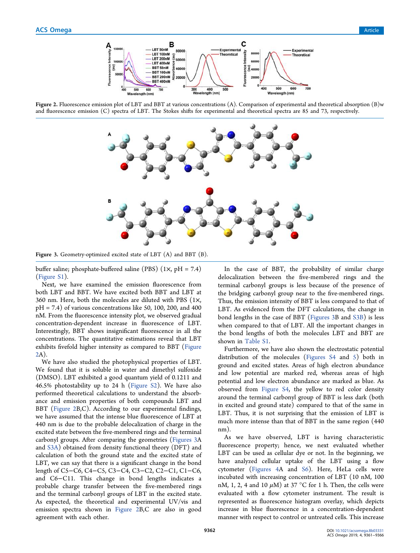

Figure 2. Fluorescence emission plot of LBT and BBT at various concentrations (A). Comparison of experimental and theoretical absorption (B)w and fluorescence emission (C) spectra of LBT. The Stokes shifts for experimental and theoretical spectra are 85 and 73, respectively.



Figure 3. Geometry-optimized excited state of LBT (A) and BBT (B).

buffer saline; phosphate-buffered saline (PBS)  $(1 \times, pH = 7.4)$ (Figure S1).

Next, we have examined the emission fluorescence from both LBT and BBT. We have excited both BBT and LBT at 360 nm. Here, both the molecules are diluted with PBS (1×,  $pH = 7.4$ ) of various concentrations like 50, 100, 200, and 400 nM. From the fluorescence intensity plot, we observed gradual concentration-dependent increase in fluorescence of LBT. Interestingly, BBT shows insignificant fluorescence in all the concentrations. The quantitative estimations reveal that LBT exhibits fivefold higher intensity as compared to BBT (Figure 2A).

We have also studied the photophysical properties of LBT. We found that it is soluble in water and dimethyl sulfoxide (DMSO). LBT exhibited a good quantum yield of 0.1211 and 46.5% photostability up to 24 h (Figure S2). We have also performed theoretical calculations to understand the absorbance and emission properties of both compounds LBT and BBT (Figure 2B,C). According to our experimental findings, we have assumed that the intense blue fluorescence of LBT at 440 nm is due to the probable delocalization of charge in the excited state between the five-membered rings and the terminal carbonyl groups. After comparing the geometries (Figures 3A and S3A) obtained from density functional theory (DFT) and calculation of both the ground state and the excited state of LBT, we can say that there is a significant change in the bond length of C5−C6, C4−C5, C3−C4, C3−C2, C2−C1, C1−C6, and C6−C11. This change in bond lengths indicates a probable charge transfer between the five-membered rings and the terminal carbonyl groups of LBT in the excited state. As expected, the theoretical and experimental UV/vis and emission spectra shown in Figure 2B,C are also in good agreement with each other.

In the case of BBT, the probability of similar charge delocalization between the five-membered rings and the terminal carbonyl groups is less because of the presence of the bridging carbonyl group near to the five-membered rings. Thus, the emission intensity of BBT is less compared to that of LBT. As evidenced from the DFT calculations, the change in bond lengths in the case of BBT (Figures 3B and S3B) is less when compared to that of LBT. All the important changes in the bond lengths of both the molecules LBT and BBT are shown in Table S1.

Furthermore, we have also shown the electrostatic potential distribution of the molecules (Figures S4 and 5) both in ground and excited states. Areas of high electron abundance and low potential are marked red, whereas areas of high potential and low electron abundance are marked as blue. As observed from Figure S4, the yellow to red color density around the terminal carbonyl group of BBT is less dark (both in excited and ground state) compared to that of the same in LBT. Thus, it is not surprising that the emission of LBT is much more intense than that of BBT in the same region (440 nm).

As we have observed, LBT is having characteristic fluorescence property; hence, we next evaluated whether LBT can be used as cellular dye or not. In the beginning, we have analyzed cellular uptake of the LBT using a flow cytometer (Figures 4A and S6). Here, HeLa cells were incubated with increasing concentration of LBT (10 nM, 100 nM, 1, 2, 4 and 10  $\mu$ M) at 37 °C for 1 h. Then, the cells were evaluated with a flow cytometer instrument. The result is represented as fluorescence histogram overlay, which depicts increase in blue fluorescence in a concentration-dependent manner with respect to control or untreated cells. This increase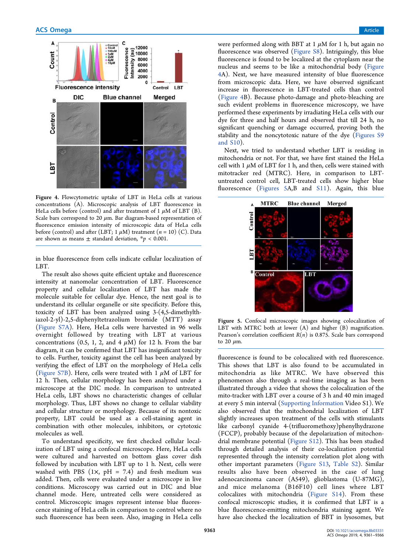

Figure 4. Flowcytometric uptake of LBT in HeLa cells at various concentrations (A). Microscopic analysis of LBT fluorescence in HeLa cells before (control) and after treatment of 1  $\mu$ M of LBT (B). Scale bars correspond to 20  $\mu$ m. Bar diagram-based representation of fluorescence emission intensity of microscopic data of HeLa cells before (control) and after (LBT; 1  $\mu$ M) treatment (n = 10) (C). Data are shown as means  $\pm$  standard deviation,  $* p < 0.001$ .

in blue fluorescence from cells indicate cellular localization of LBT.

The result also shows quite efficient uptake and fluorescence intensity at nanomolar concentration of LBT. Fluorescence property and cellular localization of LBT has made the molecule suitable for cellular dye. Hence, the next goal is to understand its cellular organelle or site specificity. Before this, toxicity of LBT has been analyzed using 3-(4,5-dimethylthiazol-2-yl)-2,5-diphenyltetrazolium bromide (MTT) assay (Figure S7A). Here, HeLa cells were harvested in 96 wells overnight followed by treating with LBT at various concentrations (0.5, 1, 2, and 4  $\mu$ M) for 12 h. From the bar diagram, it can be confirmed that LBT has insignificant toxicity to cells. Further, toxicity against the cell has been analyzed by verifying the effect of LBT on the morphology of HeLa cells (Figure S7B). Here, cells were treated with 1  $\mu$ M of LBT for 12 h. Then, cellular morphology has been analyzed under a microscope at the DIC mode. In comparison to untreated HeLa cells, LBT shows no characteristic changes of cellular morphology. Thus, LBT shows no change to cellular viability and cellular structure or morphology. Because of its nontoxic property, LBT could be used as a cell-staining agent in combination with other molecules, inhibitors, or cytotoxic molecules as well.

To understand specificity, we first checked cellular localization of LBT using a confocal microscope. Here, HeLa cells were cultured and harvested on bottom glass cover dish followed by incubation with LBT up to 1 h. Next, cells were washed with PBS  $(1\times, pH = 7.4)$  and fresh medium was added. Then, cells were evaluated under a microscope in live conditions. Microscopy was carried out in DIC and blue channel mode. Here, untreated cells were considered as control. Microscopic images represent intense blue fluorescence staining of HeLa cells in comparison to control where no such fluorescence has been seen. Also, imaging in HeLa cells were performed along with BBT at  $1 \mu M$  for  $1 \ h$ , but again no fluorescence was observed (Figure S8). Intriguingly, this blue fluorescence is found to be localized at the cytoplasm near the nucleus and seems to be like a mitochondrial body (Figure 4A). Next, we have measured intensity of blue fluorescence from microscopic data. Here, we have observed significant increase in fluorescence in LBT-treated cells than control (Figure 4B). Because photo-damage and photo-bleaching are such evident problems in fluorescence microscopy, we have performed these experiments by irradiating HeLa cells with our dye for three and half hours and observed that till 24 h, no significant quenching or damage occurred, proving both the stability and the noncytotoxic nature of the dye (Figures S9 and S10).

Next, we tried to understand whether LBT is residing in mitochondria or not. For that, we have first stained the HeLa cell with 1  $\mu$ M of LBT for 1 h, and then, cells were stained with mitotracker red (MTRC). Here, in comparison to LBTuntreated control cell, LBT-treated cells show higher blue fluorescence (Figures 5A,B and S11). Again, this blue



Figure 5. Confocal microscopic images showing colocalization of LBT with MTRC both at lower (A) and higher (B) magnification. Pearson's correlation coefficient  $R(n)$  is 0.875. Scale bars correspond to 20  $\mu$ m.

fluorescence is found to be colocalized with red fluorescence. This shows that LBT is also found to be accumulated in mitochondria as like MTRC. We have observed this phenomenon also through a real-time imaging as has been illustrated through a video that shows the colocalization of the mito-tracker with LBT over a course of 3 h and 40 min imaged at every 5 min interval (Supporting Information Video S1). We also observed that the mitochondrial localization of LBT slightly increases upon treatment of the cells with stimulants like carbonyl cyanide 4-(trifluoromethoxy)phenylhydrazone (FCCP), probably because of the depolarization of mitochondrial membrane potential (Figure S12). This has been studied through detailed analysis of their co-localization potential represented through the intensity correlation plot along with other important parameters (Figure S13, Table S2). Similar results also have been observed in the case of lung adenocarcinoma cancer (A549), glioblastoma (U-87MG), and mice melanoma (B16F10) cell lines where LBT colocalizes with mitochondria (Figure S14). From these confocal microscopic studies, it is confirmed that LBT is a blue fluorescence-emitting mitochondria staining agent. We have also checked the localization of BBT in lysosomes, but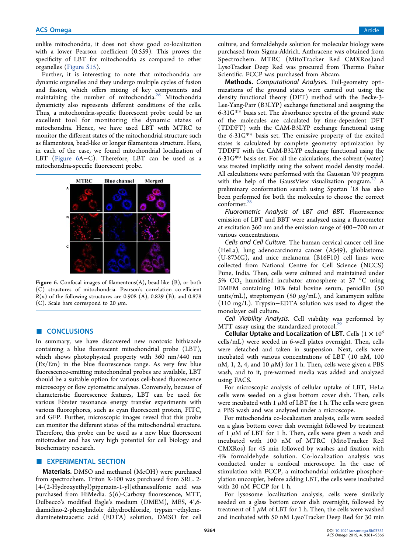unlike mitochondria, it does not show good co-localization with a lower Pearson coefficient (0.559). This proves the specificity of LBT for mitochondria as compared to other organelles (Figure S15).

Further, it is interesting to note that mitochondria are dynamic organelles and they undergo multiple cycles of fusion and fission, which offers mixing of key components and maintaining the number of mitochondria.<sup>26</sup> Mitochondria dynamicity also represents different conditions of the cells. Thus, a mitochondria-specific fluorescent probe could be an excellent tool for monitoring the dynamic states of mitochondria. Hence, we have used LBT with MTRC to monitor the different states of the mitochondrial structure such as filamentous, bead-like or longer filamentous structure. Here, in each of the case, we found mitochondrial localization of LBT (Figure 6A−C). Therefore, LBT can be used as a mitochondria-specific fluorescent probe.



Figure 6. Confocal images of filamentous $(A)$ , bead-like  $(B)$ , or both (C) structures of mitochondria. Pearson's correlation co-efficient  $R(n)$  of the following structures are 0.908 (A), 0.829 (B), and 0.878 (C). Scale bars correspond to 20  $\mu$ m.

# ■ **CONCLUSIONS**

In summary, we have discovered new nontoxic bithiazole containing a blue fluorescent mitochondrial probe (LBT), which shows photophysical property with 360 nm/440 nm (Ex/Em) in the blue fluorescence range. As very few blue fluorescence-emitting mitochondrial probes are available, LBT should be a suitable option for various cell-based fluorescence microscopy or flow cytometric analyses. Conversely, because of characteristic fluorescence features, LBT can be used for various Förster resonance energy transfer experiments with various fluorophores, such as cyan fluorescent protein, FITC, and GFP. Further, microscopic images reveal that this probe can monitor the different states of the mitochondrial structure. Therefore, this probe can be used as a new blue fluorescent mitotracker and has very high potential for cell biology and biochemistry research.

## **EXPERIMENTAL SECTION**

Materials. DMSO and methanol (MeOH) were purchased from spectrochem. Triton X-100 was purchased from SRL. 2- [4-(2-Hydroxyethyl)piperazin-1-yl]ethanesulfonic acid was purchased from HiMedia. 5(6)-Carboxy fluorescence, MTT, Dulbecco's modified Eagle's medium (DMEM), MES, 4′,6 diamidino-2-phenylindole dihydrochloride, trypsin−ethylenediaminetetraacetic acid (EDTA) solution, DMSO for cell

culture, and formaldehyde solution for molecular biology were purchased from Sigma-Aldrich. Anthracene was obtained from Spectrochem. MTRC (MitoTracker Red CMXRos)and LysoTracker Deep Red was procured from Thermo Fisher Scientific. FCCP was purchased from Abcam.

Methods. Computational Analyses. Full-geometry optimizations of the ground states were carried out using the density functional theory (DFT) method with the Becke-3- Lee-Yang-Parr (B3LYP) exchange functional and assigning the 6-31G\*\* basis set. The absorbance spectra of the ground state of the molecules are calculated by time-dependent DFT (TDDFT) with the CAM-B3LYP exchange functional using the 6-31G\*\* basis set. The emissive property of the excited states is calculated by complete geometry optimization by TDDFT with the CAM-B3LYP exchange functional using the 6-31G\*\* basis set. For all the calculations, the solvent (water) was treated implicitly using the solvent model density model. All calculations were performed with the Gaussian '09 program with the help of the GaussView visualization program. $27$  A preliminary conformation search using Spartan '18 has also been performed for both the molecules to choose the correct conformer.<sup>28</sup>

Fluorometric Analysis of LBT and BBT. Fluorescence emission of LBT and BBT were analyzed using a fluorometer at excitation 360 nm and the emission range of 400−700 nm at various concentrations.

Cells and Cell Culture. The human cervical cancer cell line (HeLa), lung adenocarcinoma cancer (A549), glioblastoma (U-87MG), and mice melanoma (B16F10) cell lines were collected from National Centre for Cell Science (NCCS) Pune, India. Then, cells were cultured and maintained under 5%  $CO<sub>2</sub>$  humidified incubator atmosphere at 37 °C using DMEM containing 10% fetal bovine serum, penicillin (50 units/mL), streptomycin (50  $\mu$ g/mL), and kanamycin sulfate (110 mg/L). Trypsin−EDTA solution was used to digest the monolayer cell culture.

Cell Viability Analysis. Cell viability was performed by MTT assay using the standardized protocol.<sup>29</sup>

Cellular Uptake and Localization of LBT. Cells  $(1 \times 10^6$ cells/mL) were seeded in 6-well plates overnight. Then, cells were detached and taken in suspension. Next, cells were incubated with various concentrations of LBT (10 nM, 100 nM, 1, 2, 4, and 10  $\mu$ M) for 1 h. Then, cells were given a PBS wash, and to it, pre-warmed media was added and analyzed using FACS.

For microscopic analysis of cellular uptake of LBT, HeLa cells were seeded on a glass bottom cover dish. Then, cells were incubated with 1  $\mu$ M of LBT for 1 h. The cells were given a PBS wash and was analyzed under a microscope.

For mitochondria co-localization analysis, cells were seeded on a glass bottom cover dish overnight followed by treatment of 1  $\mu$ M of LBT for 1 h. Then, cells were given a wash and incubated with 100 nM of MTRC (MitoTracker Red CMXRos) for 45 min followed by washes and fixation with 4% formaldehyde solution. Co-localization analysis was conducted under a confocal microscope. In the case of stimulation with FCCP, a mitochondrial oxidative phosphorylation uncoupler, before adding LBT, the cells were incubated with 20 nM FCCP for 1 h.

For lysosome localization analysis, cells were similarly seeded on a glass bottom cover dish overnight, followed by treatment of 1  $\mu$ M of LBT for 1 h. Then, the cells were washed and incubated with 50 nM LysoTracker Deep Red for 30 min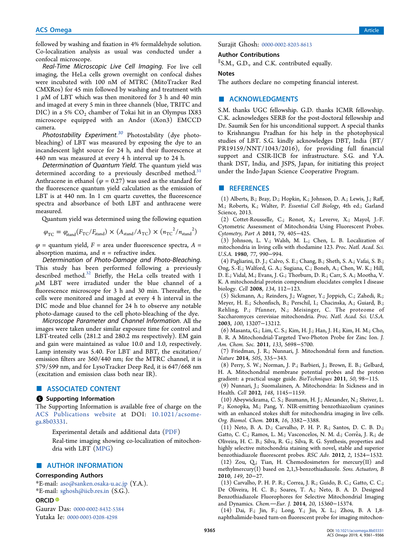followed by washing and fixation in 4% formaldehyde solution. Co-localization analysis as usual was conducted under a confocal microscope.

Real-Time Microscopic Live Cell Imaging. For live cell imaging, the HeLa cells grown overnight on confocal dishes were incubated with 100 nM of MTRC (MitoTracker Red CMXRos) for 45 min followed by washing and treatment with 1  $\mu$ M of LBT which was then monitored for 3 h and 40 min and imaged at every 5 min in three channels (blue, TRITC and DIC) in a 5% CO<sub>2</sub> chamber of Tokai hit in an Olympus IX83 microscope equipped with an Andor (iXon3) EMCCD camera.

Photostability Experiment.<sup>30</sup> Photostability (dye photobleaching) of LBT was measured by exposing the dye to an incandescent light source for 24 h, and their fluorescence at 440 nm was measured at every 4 h interval up to 24 h.

Determination of Quantum Yield. The quantum yield was determined according to a previously described method.<sup>31</sup> Anthracene in ethanol ( $\varphi$  = 0.27) was used as the standard for the fluorescence quantum yield calculation as the emission of LBT is at 440 nm. In 1 cm quartz cuvettes, the fluorescence spectra and absorbance of both LBT and anthracene were measured.

Quantum yield was determined using the following equation

$$
\varphi_{\rm TC} = \varphi_{\rm stand}(F_{\rm TC}/F_{\rm stand}) \times (A_{\rm stand}/A_{\rm TC}) \times (n_{\rm TC}^2/n_{\rm stand}^2)
$$

 $\varphi$  = quantum yield, F = area under fluorescence spectra, A = absorption maxima, and  $n =$  refractive index.

Determination of Photo-Damage and Photo-Bleaching. This study has been performed following a previously described method.<sup>32</sup> Briefly, the HeLa cells treated with 1  $\mu$ M LBT were irradiated under the blue channel of a fluorescence microscope for 3 h and 30 min. Thereafter, the cells were monitored and imaged at every 4 h interval in the DIC mode and blue channel for 24 h to observe any notable photo-damage caused to the cell photo-bleaching of the dye.

Microscope Parameter and Channel Information. All the images were taken under similar exposure time for control and LBT-treated cells (281.2 and 280.2 ms respectively). EM gain and gain were maintained as value 10.0 and 1.0, respectively. Lamp intensity was 5.40. For LBT and BBT, the excitation/ emission filters are 360/440 nm; for the MTRC channel, it is 579/599 nm, and for LysoTracker Deep Red, it is 647/668 nm (excitation and emission class both near IR).

# ■ ASSOCIATED CONTENT

#### **6** Supporting Information

The Supporting Information is available free of charge on the ACS Publications website at DOI: 10.1021/acsomega.8b03331.

> Experimental details and additional data (PDF) Real-time imaging showing co-localization of mitochondria with LBT (MPG)

# ■ AUTHOR INFORMATION

#### Corresponding Authors

\*E-mail: aso@sanken.osaka-u.ac.jp (Y.A.). \*E-mail: sghosh@iicb.res.in (S.G.).

#### ORCID<sup>®</sup>

Gaurav Das: 0000-0002-8432-5384 Yutaka Ie: 0000-0003-0208-4298

Surajit Ghosh: 0000-0002-8203-8613

#### Author Contributions

∥ S.M., G.D., and C.K. contributed equally.

#### **Notes**

The authors declare no competing financial interest.

## ■ ACKNOWLEDGMENTS

S.M. thanks UGC fellowship. G.D. thanks ICMR fellowship. C.K. acknowledges SERB for the post-doctoral fellowship and Dr. Saumik Sen for his unconditional support. A special thanks to Krishnangsu Pradhan for his help in the photophysical studies of LBT. S.G. kindly acknowledges DBT, India (BT/ PR19159/NNT/1043/2016), for providing full financial support and CSIR-IICB for infrastructure. S.G. and Y.A. thank DST, India, and JSPS, Japan, for initiating this project under the Indo-Japan Science Cooperative Program.

# ■ REFERENCES

(1) Alberts, B.; Bray, D.; Hopkin, K.; Johnson, D. A.; Lewis, J.; Raff, M.; Roberts, K.; Walter, P. Essential Cell Biology, 4th ed.; Garland Science, 2013.

(2) Cottet-Rousselle, C.; Ronot, X.; Leverve, X.; Mayol, J.-F. Cytometric Assessment of Mitochondria Using Fluorescent Probes. Cytometry, Part A 2011, 79, 405−425.

(3) Johnson, L. V.; Walsh, M. L.; Chen, L. B. Localization of mitochondria in living cells with rhodamine 123. Proc. Natl. Acad. Sci. U.S.A. 1980, 77, 990−994.

(4) Pagliarini, D. J.; Calvo, S. E.; Chang, B.; Sheth, S. A.; Vafai, S. B.; Ong, S.-E.; Walford, G. A.; Sugiana, C.; Boneh, A.; Chen, W. K.; Hill, D. E.; Vidal, M.; Evans, J. G.; Thorburn, D. R.; Carr, S. A.; Mootha, V. K. A mitochondrial protein compendium elucidates complex I disease biology. Cell 2008, 134, 112−123.

(5) Sickmann, A.; Reinders, J.; Wagner, Y.; Joppich, C.; Zahedi, R.; Meyer, H. E.; Schonfisch, B.; Perschil, I.; Chacinska, A.; Guiard, B.; Rehling, P.; Pfanner, N.; Meisinger, C. The proteome of Saccharomyces cerevisiae mitochondria. Proc. Natl. Acad. Sci. U.S.A. 2003, 100, 13207−13212.

(6) Masanta, G.; Lim, C. S.; Kim, H. J.; Han, J. H.; Kim, H. M.; Cho, B. R. A Mitochondrial-Targeted Two-Photon Probe for Zinc Ion. J. Am. Chem. Soc. 2011, 133, 5698−5700.

(7) Friedman, J. R.; Nunnari, J. Mitochondrial form and function. Nature 2014, 505, 335−343.

(8) Perry, S. W.; Norman, J. P.; Barbieri, J.; Brown, E. B.; Gelbard, H. A. Mitochondrial membrane potential probes and the proton gradient: a practical usage guide. BioTechniques 2011, 50, 98−115.

(9) Nunnari, J.; Suomalainen, A. Mitochondria: In Sickness and in Health. Cell 2012, 148, 1145−1159.

(10) Abeywickrama, C. S.; Baumann, H. J.; Alexander, N.; Shriver, L. P.; Konopka, M.; Pang, Y. NIR-emitting benzothiazolium cyanines with an enhanced stokes shift for mitochondria imaging in live cells. Org. Biomol. Chem. 2018, 16, 3382−3388.

(11) Neto, B. A. D.; Carvalho, P. H. P. R.; Santos, D. C. B. D.; Gatto, C. C.; Ramos, L. M.; Vasconcelos, N. M. d.; Corrêa, J. R.; de Oliveira, H. C. B.; Silva, R. G.; Silva, R. G. Synthesis, properties and highly selective mitochondria staining with novel, stable and superior benzothiadiazole fluorescent probes. RSC Adv. 2012, 2, 1524−1532. (12) Zou, Q.; Tian, H. Chemodosimeters for mercury(II) and

methylmercury(I) based on 2,1,3-benzothiadiazole. Sens. Actuators, B 2010, 149, 20−27.

(13) Carvalho, P. H. P. R.; Correa, J. R.; Guido, B. C.; Gatto, C. C.; De Oliveira, H. C. B.; Soares, T. A.; Neto, B. A. D. Designed Benzothiadiazole Fluorophores for Selective Mitochondrial Imaging and Dynamics. Chem.-Eur. J. 2014, 20, 15360-15374.

(14) Dai, F.; Jin, F.; Long, Y.; Jin, X. L.; Zhou, B. A 1,8 naphthalimide-based turn-on fluorescent probe for imaging mitochon-